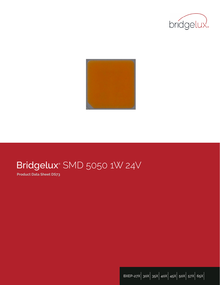



# Bridgelux® SMD 5050 1W 24V

**Product Data Sheet DS73**

**BXEP-27X**| **30X**| **35X**| **40X**| **45X**| **50X**| **57X**| **65X**|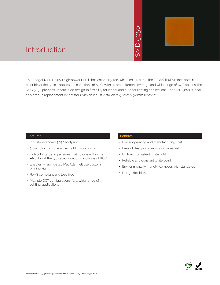# 5050  $\geq$



# Introduction

The Bridgelux SMD 5050 high power LED is hot-color targeted, which ensures that the LEDs fall within their specified color bin at the typical application conditions of 85°C. With its broad lumen coverage and wide range of CCT options, the SMD 5050 provides unparalleled design-in flexibility for indoor and outdoor lighting applications. The SMD 5050 is ideal as a drop-in replacement for emitters with an industry standard 5.0mm x 5.0mm footprint. • Notich ensures that<br>
bad lumen coverage<br>
and outdoor lighting<br>
5.0mm x 5.0mm fo<br> **Benefits**<br>
• Lower operating<br>
• Ease of design a<br>
• Uniform consiste<br>
• Reliable and con<br>
• Environmentally<br>
• Design flexibility

### **Features**

- Industry-standard 5050 footprint
- 3 bin color control enables tight color control
- Hot-color targeting ensures that color is within the ANSI bin at the typical application conditions of 85°C
- Enables 3- and 5-step MacAdam ellipse custom binning kits
- RoHS compliant and lead free
- Multiple CCT configurations for a wide range of lighting applications

### **Benefits**

- Lower operating and manufacturing cost
- Ease of design and rapid go-to-market
- Uniform consistent white light
- Reliable and constant white point
- Environmentally friendly, complies with standards
- · Design flexibility

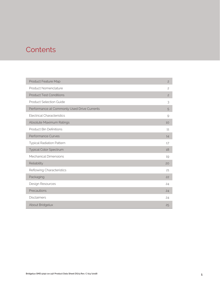# **Contents**

| Product Feature Map                         | $\overline{c}$ |
|---------------------------------------------|----------------|
| Product Nomenclature                        | $\overline{c}$ |
| <b>Product Test Conditions</b>              | $\overline{c}$ |
| <b>Product Selection Guide</b>              | 3              |
| Performance at Commonly Used Drive Currents | 5              |
| <b>Electrical Characteristics</b>           | 9              |
| Absolute Maximum Ratings                    | 10             |
| <b>Product Bin Definitions</b>              | 11             |
| Performance Curves                          | 14             |
| <b>Typical Radiation Pattern</b>            | 17             |
| <b>Typical Color Spectrum</b>               | 18             |
| <b>Mechanical Dimensions</b>                | 19             |
| Reliability                                 | 20             |
| Reflowing Characteristics                   | 21             |
| Packaging                                   | 22             |
| Design Resources                            | 24             |
| Precautions                                 | 24             |
| <b>Disclaimers</b>                          | 24             |
| About Bridgelux                             | 25             |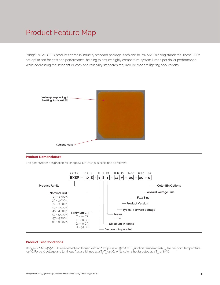# Product Feature Map

Bridgelux SMD LED products come in industry standard package sizes and follow ANSI binning standards. These LEDs are optimized for cost and performance, helping to ensure highly competitive system lumen per dollar performance while addressing the stringent efficacy and reliability standards required for modern lighting applications.





#### **Product Test Conditions**

Bridgelux SMD 5050 LEDs are tested and binned with a 10ms pulse of 45mA at T<sub>j</sub> (junction temperature)=T<sub>sp</sub> (solder point temperature) =25°C. Forward voltage and luminous flux are binned at a T<sub>j</sub>-T<sub>sp</sub>=25°C, while color is hot targeted at a T<sub>sp</sub> of 85°C.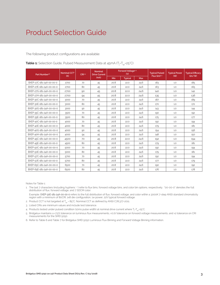The following product configurations are available:

| Part Number <sup>1,6</sup> | Nominal CCT <sup>2</sup> | CRI3.5 | <b>Nominal</b><br><b>Drive Current</b> | Forward Voltage <sup>4.5</sup><br>(V) |                | <b>Typical Pulsed</b> | <b>Typical Power</b> | <b>Typical Efficacy</b> |               |
|----------------------------|--------------------------|--------|----------------------------------------|---------------------------------------|----------------|-----------------------|----------------------|-------------------------|---------------|
|                            | (K)                      |        | (mA)                                   | Min                                   | <b>Typical</b> | Max                   | Flux $(lm)^{4.5}$    | (W)                     | $\frac{1}{2}$ |
| BXEP-27C-181-24A-00-00-0   | 2700                     | 70     | 45                                     | 20.8                                  | 22.0           | 24.6                  | 183                  | 1.0                     | 185           |
| BXEP-27E-181-24A-00-00-0   | 2700                     | 80     | 45                                     | 20.8                                  | 22.0           | 24.6                  | 163                  | 1.0                     | 165           |
| BXEP-27G-181-24A-00-00-0   | 2700                     | 90     | 45                                     | 20.8                                  | 22.0           | 24.6                  | 140                  | 1.0                     | 141           |
| BXEP-27H-181-24A-00-00-0   | 2700                     | 94     | 45                                     | 20.8                                  | 22.0           | 24.6                  | 135                  | 1.0                     | 136           |
| BXEP-30C-181-24A-00-00-0   | 3000                     | 70     | 45                                     | 20.8                                  | 22.0           | 24.6                  | 187                  | 1.0                     | 189           |
| BXEP-30E-181-24A-00-00-0   | 3000                     | 80     | 45                                     | 20.8                                  | 22.0           | 24.6                  | 170                  | 1.0                     | 172           |
| BXEP-30G-181-24A-00-00-0   | 3000                     | 90     | 45                                     | 20.8                                  | 22.0           | 24.6                  | 143                  | 1.0                     | 144           |
| BXEP-35C-181-24A-00-00-0   | 3500                     | 70     | 45                                     | 20.8                                  | 22.0           | 24.6                  | 190                  | 1.0                     | 192           |
| BXEP-35E-181-24A-00-00-0   | 3500                     | 80     | 45                                     | 20.8                                  | 22.0           | 24.6                  | 175                  | 1.0                     | 177           |
| BXEP-40C-181-24A-00-00-0   | 4000                     | 70     | 45                                     | 20.8                                  | 22.0           | 24.6                  | 192                  | 1.0                     | 194           |
| BXEP-40E-181-24A-00-00-0   | 4000                     | 80     | 45                                     | 20.8                                  | 22.0           | 24.6                  | 179                  | 1.0                     | 181           |
| BXEP-40G-181-24A-00-00-0   | 4000                     | 90     | 45                                     | 20.8                                  | 22.0           | 24.6                  | 154                  | 1.0                     | 156           |
| BXEP-40H-181-24A-00-00-0   | 4000                     | 94     | 45                                     | 20.8                                  | 22.0           | 24.6                  | 148                  | 1.0                     | 150           |
| BXEP-45C-181-24A-00-00-0   | 4500                     | 70     | 45                                     | 20.8                                  | 22.0           | 24.6                  | 192                  | 1.0                     | 194           |
| BXEP-45E-181-24A-00-00-0   | 4500                     | 80     | 45                                     | 20.8                                  | 22.0           | 24.6                  | 179                  | 1.0                     | 181           |
| BXEP-50C-181-24A-00-00-0   | 5000                     | 70     | 45                                     | 20.8                                  | 22.0           | 24.6                  | 192                  | 1.0                     | 194           |
| BXEP-50E-181-24A-00-00-0   | 5000                     | 80     | 45                                     | 20.8                                  | 22.0           | 24.6                  | 179                  | 1.0                     | 181           |
| BXEP-57C-181-24A-00-00-0   | 5700                     | 70     | 45                                     | 20.8                                  | 22.0           | 24.6                  | 192                  | 1.0                     | 194           |
| BXEP-57E-181-24A-00-00-0   | 5700                     | 80     | 45                                     | 20.8                                  | 22.0           | 24.6                  | 177                  | 1.0                     | 179           |
| BXEP-65C-181-24A-00-00-0   | 6500                     | 70     | 45                                     | 20.8                                  | 22.0           | 24.6                  | 190                  | 1.0                     | 192           |
| BXEP-65E-181-24A-00-00-0   | 6500                     | 80     | 45                                     | 20.8                                  | 22.0           | 24.6                  | 176                  | 1.0                     | 178           |

**Table 1:** Selection Guide, Pulsed Measurement Data at 45mA (T<sub>j</sub>=T<sub>sp</sub>=25°C)

Notes for Table 1:

- 1. The last 7 characters (including hyphens '-') refer to flux bins, forward voltage bins, and color bin options, respectively. "00-00-0" denotes the full distribution of flux, forward voltage, and 7 SDCM color. Example: BXEP-30E-181-24A-00-00-0 refers to the full distribution of flux, forward voltage, and color within a 3000K 7-step ANSI standard chromaticity region with a minimum of 80CRI, 1x8 die configuration, 1w power, 22V typical forward voltage.
- 2. Product CCT is hot targeted at  $T_{sp}$  = 85°C. Nominal CCT as defined by ANSI C78.377-2011.
- 3. Listed CRIs are minimum values and include test tolerance.
- 4. Products tested under pulsed condition (10ms pulse width) at nominal drive current where T<sub>i</sub>-T<sub>sp</sub>-25°C.
- 5. Bridgelux maintains a ±7.5% tolerance on luminous flux measurements, ±0.1V tolerance on forward voltage measurements, and ±2 tolerance on CRI measurements for the SMD 5050.
- 6. Refer to Table 6 and Table 7 for Bridgelux SMD 5050 Luminous Flux Binning and Forward Voltage Binning information.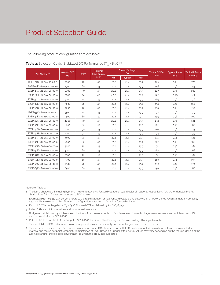The following product configurations are available:

| Part Number <sup>15</sup> | Nominal CCT <sup>2</sup> | CRI34 | <b>Nominal</b><br><b>Drive Current</b> |      | Forward Voltage <sup>4</sup><br>(V) |      | <b>Typical DC Flux</b> | <b>Typical Power</b> | <b>Typical Efficacy</b> |
|---------------------------|--------------------------|-------|----------------------------------------|------|-------------------------------------|------|------------------------|----------------------|-------------------------|
|                           | (K)                      |       | (mA)                                   | Min  | <b>Typical</b>                      | Max  | (lm) <sup>4</sup>      | (VV)                 | $\frac{1}{2}$           |
| BXEP-27C-181-24A-00-00-0  | 2700                     | 70    | 45                                     | 20.2 | 21.4                                | 23.9 | 166                    | 0.96                 | 172                     |
| BXEP-27E-181-24A-00-00-0  | 2700                     | 80    | 45                                     | 20.2 | 21.4                                | 23.9 | 148                    | 0.96                 | 153                     |
| BXEP-27G-181-24A-00-00-0  | 2700                     | 90    | 45                                     | 20.2 | 21.4                                | 23.9 | 127                    | 0.96                 | 132                     |
| BXEP-27H-181-24A-00-00-0  | 2700                     | 94    | 45                                     | 20.2 | 21.4                                | 23.9 | 122                    | 0.96                 | 127                     |
| BXEP-30C-181-24A-00-00-0  | 3000                     | 70    | 45                                     | 20.2 | 21.4                                | 23.9 | 169                    | 0.96                 | 176                     |
| BXEP-30E-181-24A-00-00-0  | 3000                     | 80    | 45                                     | 20.2 | 21.4                                | 23.9 | 154                    | 0.96                 | 160                     |
| BXEP-30G-181-24A-00-00-0  | 3000                     | 90    | 45                                     | 20.2 | 21.4                                | 23.9 | 130                    | 0.96                 | 135                     |
| BXEP-35C-181-24A-00-00-0  | 3500                     | 70    | 45                                     | 20.2 | 21.4                                | 23.9 | 172                    | 0.96                 | 179                     |
| BXEP-35E-181-24A-00-00-0  | 3500                     | 80    | 45                                     | 20.2 | 21.4                                | 23.9 | 159                    | 0.96                 | 165                     |
| BXEP-40C-181-24A-00-00-0  | 4000                     | 70    | 45                                     | 20.2 | 21.4                                | 23.9 | 174                    | 0.96                 | 181                     |
| BXEP-40E-181-24A-00-00-0  | 4000                     | 80    | 45                                     | 20.2 | 21.4                                | 23.9 | 162                    | 0.96                 | 168                     |
| BXEP-40G-181-24A-00-00-0  | 4000                     | 90    | 45                                     | 20.2 | 21.4                                | 23.9 | 140                    | 0.96                 | 145                     |
| BXEP-40H-181-24A-00-00-0  | 4000                     | 94    | 45                                     | 20.2 | 21.4                                | 23.9 | 134                    | 0.96                 | 139                     |
| BXEP-45C-181-24A-00-00-0  | 4500                     | 70    | 45                                     | 20.2 | 21.4                                | 23.9 | 174                    | 0.96                 | 181                     |
| BXEP-45E-181-24A-00-00-0  | 4500                     | 80    | 45                                     | 20.2 | 21.4                                | 23.9 | 162                    | 0.96                 | 168                     |
| BXEP-50C-181-24A-00-00-0  | 5000                     | 70    | 45                                     | 20.2 | 21.4                                | 23.9 | 174                    | 0.96                 | 181                     |
| BXEP-50E-181-24A-00-00-0  | 5000                     | 80    | 45                                     | 20.2 | 21.4                                | 23.9 | 162                    | 0.96                 | 168                     |
| BXEP-57C-181-24A-00-00-0  | 5700                     | 70    | 45                                     | 20.2 | 21.4                                | 23.9 | 174                    | 0.96                 | 181                     |
| BXEP-57E-181-24A-00-00-0  | 5700                     | 80    | 45                                     | 20.2 | 21.4                                | 23.9 | 160                    | 0.96                 | 167                     |
| BXEP-65C-181-24A-00-00-0  | 6500                     | 70    | 45                                     | 20.2 | 21.4                                | 23.9 | 172                    | 0.96                 | 179                     |
| BXEP-65E-181-24A-00-00-0  | 6500                     | 80    | 45                                     | 20.2 | 21.4                                | 23.9 | 159                    | 0.96                 | 166                     |

**Table 2:** Selection Guide, Stabilized DC Performance (T<sub>sp</sub> = 85°C)<sup>6,7</sup>

Notes for Table 2:

1. The last 7 characters (including hyphens '-') refer to flux bins, forward voltage bins, and color bin options, respectively. "00-00-0" denotes the full distribution of flux, forward voltage, and 7 SDCM color.

 Example: BXEP-30E-181-24A-00-00-0 refers to the full distribution of flux, forward voltage, and color within a 3000K 7-step ANSI standard chromaticity region with a minimum of 80CRI, 1x8 die configuration, 1w power, 22V typical forward voltage.

- 2. Product CCT is hot targeted at  $T_{sp}$  = 85°C. Nominal CCT as defined by ANSI C78.377-2011.
- 3. Listed CRIs are minimum values and include test tolerance.

4. Bridgelux maintains a ±7.5% tolerance on luminous flux measurements, ±0.1V tolerance on forward voltage measurements, and ±2 tolerance on CRI measurements for the SMD 5050.

5. Refer to Table 6 and Table 7 for Bridgelux SMD 5050 Luminous Flux Binning and Forward Voltage Binning information.

6. Typical stabilized DC performance values are provided as reference only and are not a guarantee of performance.

7. Typical performance is estimated based on operation under DC (direct current) with LED emitter mounted onto a heat sink with thermal interface material and the solder point temperature maintained at 85°C. Based on Bridgelux test setup, values may vary depending on the thermal design of the luminaire and/or the exposed environment to which the product is subjected.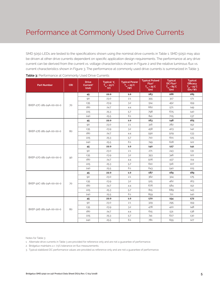SMD 5050 LEDs are tested to the specifications shown using the nominal drive currents in Table 1. SMD 5050 may also be driven at other drive currents dependent on specific application design requirements. The performance at any drive current can be derived from the current vs. voltage characteristics shown in Figure 2 and the relative luminous flux vs. current characteristics shown in Figure 3. The performance at commonly used drive currents is summarized in Table 3.

| <b>Part Number</b>       | <b>CRI</b> | <b>Drive</b><br>Current <sup>1</sup><br>(mA) | Typical V<br>$\overline{T_{\rm sp}}$ = 25°C<br>(V) | <b>Typical Power</b><br>$T_{sp} = 25^{\circ}C$<br>(W) | <b>Typical Pulsed</b><br>Flux <sup>2</sup><br>$T_{sp} = 25^{\circ}C$<br>(lm) | <b>Typical</b><br>DC Flux <sup>3</sup><br>$T_{sp} = 85^{\circ}C$<br>(lm) | <b>Typical</b><br><b>Efficacy</b><br>$T_{sp} = 25^{\circ}C$<br>(lm/W) |
|--------------------------|------------|----------------------------------------------|----------------------------------------------------|-------------------------------------------------------|------------------------------------------------------------------------------|--------------------------------------------------------------------------|-----------------------------------------------------------------------|
|                          |            | 45                                           | 22.0                                               | 1.0                                                   | 183                                                                          | 166                                                                      | 185                                                                   |
|                          |            | 90                                           | 23.0                                               | 2.1                                                   | 355                                                                          | 317                                                                      | 171                                                                   |
| BXEP-27C-181-24A-00-00-0 | 70         | 135                                          | 23.9                                               | 3.2                                                   | 514                                                                          | 452                                                                      | 159                                                                   |
|                          |            | 180                                          | 24.7                                               | 4.4                                                   | 662                                                                          | 571                                                                      | 149                                                                   |
|                          |            | 225                                          | 25.3                                               | 5.7                                                   | 798                                                                          | 675                                                                      | 140                                                                   |
|                          |            | 240                                          | 25.5                                               | 6.1                                                   | 841                                                                          | 705                                                                      | 137                                                                   |
|                          |            | 45                                           | 22.0                                               | $1.0$                                                 | 163                                                                          | 148                                                                      | 165                                                                   |
|                          |            | 90                                           | 23.0                                               | 2.1                                                   | 316                                                                          | 282                                                                      | 152                                                                   |
| BXEP-27E-181-24A-00-00-0 | 80         | 135                                          | 23.9                                               | 3.2                                                   | 458                                                                          | 403                                                                      | 142                                                                   |
|                          |            | 180                                          | 24.7                                               | 4.4                                                   | 590                                                                          | 509                                                                      | 133                                                                   |
|                          |            | 225                                          | 25.3                                               | 5.7                                                   | 710                                                                          | 601                                                                      | 125                                                                   |
|                          |            | 240                                          | 25.5                                               | 6.1                                                   | 749                                                                          | 628                                                                      | 122                                                                   |
|                          | 90         | 45                                           | 22.0                                               | 1.0                                                   | 140                                                                          | 127                                                                      | 141                                                                   |
|                          |            | 90                                           | 23.0                                               | 2.1                                                   | 271                                                                          | 243                                                                      | 131                                                                   |
| BXEP-27G-181-24A-00-00-0 |            | 135                                          | 23.9                                               | 3.2                                                   | 393                                                                          | 346                                                                      | 122                                                                   |
|                          |            | 180                                          | 24.7                                               | 4.4                                                   | 506                                                                          | 437                                                                      | 114                                                                   |
|                          |            | 225                                          | 25.3                                               | 5.7                                                   | 610                                                                          | 516                                                                      | 107                                                                   |
|                          |            | 240                                          | 25.5                                               | 6.1                                                   | 643                                                                          | 540                                                                      | 105                                                                   |
|                          |            | 45                                           | 22.0                                               | 1.0                                                   | 187                                                                          | 169                                                                      | 189                                                                   |
|                          |            | 90                                           | 23.0                                               | 2.1                                                   | 362                                                                          | 324                                                                      | 175                                                                   |
| BXEP-30C-181-24A-00-00-0 | 70         | 135                                          | 23.9                                               | 3.2                                                   | 525                                                                          | 462                                                                      | 163                                                                   |
|                          |            | 180                                          | 24.7                                               | 4.4                                                   | 676                                                                          | 584                                                                      | 152                                                                   |
|                          |            | 225                                          | 25.3                                               | 5.7                                                   | 815                                                                          | 689                                                                      | 143                                                                   |
|                          |            | 240                                          | 25.5                                               | 6.1                                                   | 859                                                                          | 721                                                                      | 140                                                                   |
|                          |            | 45                                           | 22.0                                               | $1.0\,$                                               | 170                                                                          | 154                                                                      | 172                                                                   |
|                          |            | 90                                           | 23.0                                               | 2.1                                                   | 329                                                                          | 295                                                                      | 159                                                                   |
| BXEP-30E-181-24A-00-00-0 | 80         | 135                                          | 23.9                                               | 3.2                                                   | 478                                                                          | 420                                                                      | 148                                                                   |
|                          |            | 180                                          | 24.7                                               | 4.4                                                   | 615                                                                          | 531                                                                      | 138                                                                   |
|                          |            | 225                                          | 25.3                                               | 5.7                                                   | 741                                                                          | 627                                                                      | 130                                                                   |
|                          |            | 240                                          | 25.5                                               | 6.1                                                   | 781                                                                          | 655                                                                      | 127                                                                   |

Notes for Table 3:

1. Alternate drive currents in Table 3 are provided for reference only and are not a guarantee of performance.

2. Bridgelux maintains a ± 7.5% tolerance on flux measurements.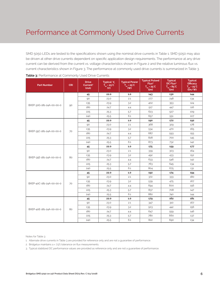SMD 5050 LEDs are tested to the specifications shown using the nominal drive currents in Table 1. SMD 5050 may also be driven at other drive currents dependent on specific application design requirements. The performance at any drive current can be derived from the current vs. voltage characteristics shown in Figure 2 and the relative luminous flux vs. current characteristics shown in Figure 3. The performance at commonly used drive currents is summarized in Table 3.

| <b>Part Number</b>       | <b>CRI</b> | <b>Drive</b><br>Current <sup>1</sup><br>(mA) | Typical V<br>$\overline{T_{\rm sp}}$ = 25°C<br>(V) | <b>Typical Power</b><br>$T_{sp} = 25^{\circ}C$<br>(W) | <b>Typical Pulsed</b><br>Flux <sup>2</sup><br>$T_{sp} = 25^{\circ}C$<br>(lm) | <b>Typical</b><br>DC Flux <sup>3</sup><br>$T_{sp} = 85^{\circ}C$<br>(lm) | <b>Typical</b><br><b>Efficacy</b><br>$T_{sp} = 25^{\circ}C$<br>(lm/W) |
|--------------------------|------------|----------------------------------------------|----------------------------------------------------|-------------------------------------------------------|------------------------------------------------------------------------------|--------------------------------------------------------------------------|-----------------------------------------------------------------------|
|                          |            | 45                                           | 22.0                                               | 1.0                                                   | 143                                                                          | 130                                                                      | 144                                                                   |
|                          |            | 90                                           | 23.0                                               | 2.1                                                   | 277                                                                          | 248                                                                      | 134                                                                   |
| BXEP-30G-181-24A-00-00-0 | 90         | 135                                          | 23.9                                               | 3.2                                                   | 402                                                                          | 353                                                                      | 124                                                                   |
|                          |            | 180                                          | 24.7                                               | 4.4                                                   | 517                                                                          | 447                                                                      | 116                                                                   |
|                          |            | 225                                          | 25.3                                               | 5.7                                                   | 623                                                                          | 527                                                                      | 109                                                                   |
|                          |            | 240                                          | 25.5                                               | 6.1                                                   | 657                                                                          | 551                                                                      | 107                                                                   |
|                          |            | 45                                           | 22.0                                               | $1.0$                                                 | 190                                                                          | 172                                                                      | 192                                                                   |
|                          |            | 90                                           | 23.0                                               | 2.1                                                   | 368                                                                          | 329                                                                      | 178                                                                   |
| BXEP-35C-181-24A-00-00-0 | 70         | 135                                          | 23.9                                               | 3.2                                                   | 534                                                                          | 470                                                                      | 165                                                                   |
|                          |            | 180                                          | 24.7                                               | 4.4                                                   | 687                                                                          | 593                                                                      | 155                                                                   |
|                          |            | 225                                          | 25.3                                               | 5.7                                                   | 828                                                                          | 700                                                                      | 145                                                                   |
|                          |            | 240                                          | 25.5                                               | 6.1                                                   | 873                                                                          | 732                                                                      | 142                                                                   |
|                          | 80         | 45                                           | 22.0                                               | 1.0                                                   | 175                                                                          | 159                                                                      | 177                                                                   |
|                          |            | 90                                           | 23.0                                               | 2.1                                                   | 339                                                                          | 303                                                                      | 164                                                                   |
| BXEP-35E-181-24A-00-00-0 |            | 135                                          | 23.9                                               | 3.2                                                   | 492                                                                          | 433                                                                      | 152                                                                   |
|                          |            | 180                                          | 24.7                                               | 4.4                                                   | 633                                                                          | 546                                                                      | 142                                                                   |
|                          |            | 225                                          | 25.3                                               | 5.7                                                   | 763                                                                          | 645                                                                      | 134                                                                   |
|                          |            | 240                                          | 25.5                                               | 6.1                                                   | 804                                                                          | 675                                                                      | 131                                                                   |
|                          |            | 45                                           | 22.0                                               | 1.0                                                   | 192                                                                          | 174                                                                      | 194                                                                   |
|                          |            | 90                                           | 23.0                                               | 2.1                                                   | 372                                                                          | 333                                                                      | 180                                                                   |
| BXEP-40C-181-24A-00-00-0 | 70         | 135                                          | 23.9                                               | 3.2                                                   | 539                                                                          | 475                                                                      | 167                                                                   |
|                          |            | 180                                          | 24.7                                               | 4.4                                                   | 694                                                                          | 600                                                                      | 156                                                                   |
|                          |            | 225                                          | 25.3                                               | 5.7                                                   | 837                                                                          | 708                                                                      | 147                                                                   |
|                          |            | 240                                          | 25.5                                               | 6.1                                                   | 882                                                                          | 740                                                                      | 144                                                                   |
|                          |            | 45                                           | 22.0                                               | $1.0\,$                                               | 179                                                                          | 162                                                                      | 181                                                                   |
|                          |            | 90                                           | 23.0                                               | 2.1                                                   | 347                                                                          | 310                                                                      | 167                                                                   |
| BXEP-40E-181-24A-00-00-0 | 80         | 135                                          | 23.9                                               | 3.2                                                   | 503                                                                          | 442                                                                      | 156                                                                   |
|                          |            | 180                                          | 24.7                                               | 4.4                                                   | 647                                                                          | 559                                                                      | 146                                                                   |
|                          |            | 225                                          | 25.3                                               | 5.7                                                   | 780                                                                          | 660                                                                      | 137                                                                   |
|                          |            | 240                                          | 25.5                                               | 6.1                                                   | 822                                                                          | 690                                                                      | 134                                                                   |

Notes for Table 3:

1. Alternate drive currents in Table 3 are provided for reference only and are not a guarantee of performance.

2. Bridgelux maintains a ± 7.5% tolerance on flux measurements.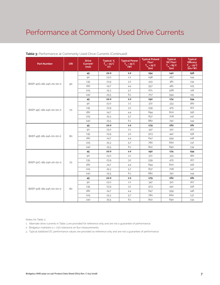| <b>Part Number</b>       | <b>CRI</b> | <b>Drive</b><br>Current <sup>1</sup><br>(mA) | Typical V.<br>$T_{\rm sp}$ = 25°C<br>(V) | <b>Typical Power</b><br>$T_{\rm sp}$ = 25°C<br>$($ W $)$ | <b>Typical Pulsed</b><br>Flux <sup>2</sup><br>$T_{sp}$ = 25°C<br>(lm) | <b>Typical</b><br>DC Flux <sup>3</sup><br>$T_{\text{cm}} = 85^{\circ}C$<br>(Im) | <b>Typical</b><br><b>Efficacy</b><br>$T_{\rm SD}$ = 25°C<br>$\lim$ /w |
|--------------------------|------------|----------------------------------------------|------------------------------------------|----------------------------------------------------------|-----------------------------------------------------------------------|---------------------------------------------------------------------------------|-----------------------------------------------------------------------|
|                          |            | 45                                           | 22.0                                     | 1.0                                                      | 154                                                                   | 140                                                                             | 156                                                                   |
|                          |            | 90                                           | 23.0                                     | 2.1                                                      | 298                                                                   | 267                                                                             | 144                                                                   |
|                          | 90         | 135                                          | 23.9                                     | 3.2                                                      | 433                                                                   | 381                                                                             | 134                                                                   |
| BXEP-40G-181-24A-00-00-0 |            | 180                                          | 24.7                                     | 4.4                                                      | 557                                                                   | 481                                                                             | 125                                                                   |
|                          |            | 225                                          | 25.3                                     | 5.7                                                      | 671                                                                   | 568                                                                             | 118                                                                   |
|                          |            | 240                                          | 25.5                                     | 6.1                                                      | 707                                                                   | 594                                                                             | 115                                                                   |
|                          |            | 45                                           | 22.0                                     | $1.0\,$                                                  | 192                                                                   | 174                                                                             | 194                                                                   |
|                          |            | 90                                           | 23.0                                     | 2.1                                                      | 372                                                                   | 333                                                                             | 180                                                                   |
| BXEP-45C-181-24A-00-00-0 | 70         | 135                                          | 23.9                                     | 3.2                                                      | 539                                                                   | 475                                                                             | 167                                                                   |
|                          |            | 180                                          | 24.7                                     | 4.4                                                      | 694                                                                   | 600                                                                             | 156                                                                   |
|                          |            | 225                                          | 25.3                                     | 5.7                                                      | 837                                                                   | 708                                                                             | 147                                                                   |
|                          |            | 240                                          | 25.5                                     | 6.1                                                      | 882                                                                   | 740                                                                             | 144                                                                   |
|                          |            | 45                                           | 22.0                                     | $1.0$                                                    | 179                                                                   | 162                                                                             | 181                                                                   |
|                          |            | 90                                           | 23.0                                     | 2.1                                                      | 347                                                                   | 310                                                                             | 167                                                                   |
| BXEP-45E-181-24A-00-00-0 | 80         | 135                                          | 23.9                                     | 3.2                                                      | 503                                                                   | 442                                                                             | 156                                                                   |
|                          |            | 180                                          | 24.7                                     | 4.4                                                      | 647                                                                   | 559                                                                             | 146                                                                   |
|                          |            | 225                                          | 25.3                                     | 5.7                                                      | 780                                                                   | 660                                                                             | 137                                                                   |
|                          |            | 240                                          | 25.5                                     | 6.1                                                      | 822                                                                   | 690                                                                             | 134                                                                   |
|                          |            | 45                                           | 22.0                                     | $1.0$                                                    | 192                                                                   | 174                                                                             | 194                                                                   |
|                          |            | 90                                           | 23.0                                     | 2.1                                                      | 372                                                                   | 333                                                                             | 180                                                                   |
| BXEP-50C-181-24A-00-00-0 | 70         | 135                                          | 23.9                                     | 3.2                                                      | 539                                                                   | 475                                                                             | 167                                                                   |
|                          |            | 180                                          | 24.7                                     | 4.4                                                      | 694                                                                   | 600                                                                             | 156                                                                   |
|                          |            | 225                                          | 25.3                                     | 5.7                                                      | 837                                                                   | 708                                                                             | 147                                                                   |
|                          |            | 240                                          | 25.5                                     | 6.1                                                      | 882                                                                   | 740                                                                             | 144                                                                   |
|                          |            | 45                                           | 22.0                                     | $1.0$                                                    | 179                                                                   | 162                                                                             | 181                                                                   |
|                          |            | 90                                           | 23.0                                     | 2.1                                                      | 347                                                                   | 310                                                                             | 167                                                                   |
| BXEP-50E-181-24A-00-00-0 | 80         | 135                                          | 23.9                                     | 3.2                                                      | 503                                                                   | 442                                                                             | 156                                                                   |
|                          |            | 180                                          | 24.7                                     | 4.4                                                      | 647                                                                   | 559                                                                             | 146                                                                   |
|                          |            | 225                                          | 25.3                                     | 5.7                                                      | 780                                                                   | 660                                                                             | 137                                                                   |
|                          |            | 240                                          | 25.5                                     | 6.1                                                      | 822                                                                   | 690                                                                             | 134                                                                   |

### **Table 3:** Performance at Commonly Used Drive Currents (Continued)

Notes for Table 3:

1. Alternate drive currents in Table 3 are provided for reference only and are not a guarantee of performance.

2. Bridgelux maintains a ± 7.5% tolerance on flux measurements.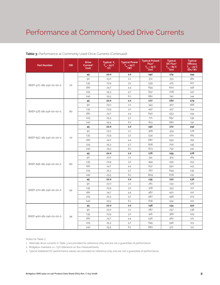| <b>Part Number</b>       | <b>CRI</b> | <b>Drive</b><br>Current <sup>1</sup><br>(mA) | Typical V <sub>r</sub><br>$T_{\rm sp}$ = 25°C<br>(V) | <b>Typical Power</b><br>$\overline{T_{\rm sp}}$ = 25 <sup>°</sup> C<br>(W) | <b>Typical Pulsed</b><br>Flux <sup>2</sup><br>$\overline{T_{\rm sp}}$ = 25 <sup>°</sup> C<br>(lm) | <b>Typical</b><br>DC Flux <sup>3</sup><br>$T_{\rm so} = 85^{\circ}C$<br>(lm) | <b>Typical</b><br><b>Efficacy</b><br>$T_{\rm SD}$ = 25°C<br>$\lim$ /w |
|--------------------------|------------|----------------------------------------------|------------------------------------------------------|----------------------------------------------------------------------------|---------------------------------------------------------------------------------------------------|------------------------------------------------------------------------------|-----------------------------------------------------------------------|
|                          |            | 45                                           | 22.0                                                 | $1.0$                                                                      | 192                                                                                               | 174                                                                          | 194                                                                   |
|                          |            | 90                                           | 23.0                                                 | 2.1                                                                        | 372                                                                                               | 333                                                                          | 180                                                                   |
| BXEP-57C-181-24A-00-00-0 | 70         | 135                                          | 23.9                                                 | 3.2                                                                        | 539                                                                                               | 475                                                                          | 167                                                                   |
|                          |            | 180                                          | 24.7                                                 | 4.4                                                                        | 694                                                                                               | 600                                                                          | 156                                                                   |
|                          |            | 225                                          | 25.3                                                 | 5.7                                                                        | 837                                                                                               | 708                                                                          | 147                                                                   |
|                          |            | 240                                          | 25.5                                                 | 6.1                                                                        | 882                                                                                               | 740                                                                          | 144                                                                   |
|                          |            | 45                                           | 22.0                                                 | 1.0                                                                        | 177                                                                                               | 160                                                                          | 179                                                                   |
|                          |            | 90                                           | 23.0                                                 | 2.1                                                                        | 343                                                                                               | 307                                                                          | 166                                                                   |
| BXEP-57E-181-24A-00-00-0 | 80         | 135                                          | 23.9                                                 | 3.2                                                                        | 497                                                                                               | 437                                                                          | 154                                                                   |
|                          |            | 180                                          | 24.7                                                 | 4.4                                                                        | 640                                                                                               | 553                                                                          | 144                                                                   |
|                          |            | 225                                          | 25.3                                                 | 5.7                                                                        | 771                                                                                               | 652                                                                          | 135                                                                   |
|                          |            | 240                                          | 25.5                                                 | 6.1                                                                        | 813                                                                                               | 682                                                                          | 132                                                                   |
|                          |            | 45                                           | 22.0                                                 | $1.0$                                                                      | 190                                                                                               | 172                                                                          | 192                                                                   |
|                          | 70         | 90                                           | 23.0                                                 | 2.1                                                                        | 368                                                                                               | 329                                                                          | 178                                                                   |
| BXEP-65C-181-24A-00-00-0 |            | 135                                          | 23.9                                                 | 3.2                                                                        | 534                                                                                               | 470                                                                          | 165                                                                   |
|                          |            | 180                                          | 24.7                                                 | 4.4                                                                        | 687                                                                                               | 593                                                                          | 155                                                                   |
|                          |            | 225                                          | 25.3                                                 | 5.7                                                                        | 828                                                                                               | 700                                                                          | 145                                                                   |
|                          |            | 240                                          | 25.5                                                 | 6.1                                                                        | 873                                                                                               | 732                                                                          | 142                                                                   |
|                          |            | 45                                           | 22.0                                                 | 1.0                                                                        | 176                                                                                               | 159                                                                          | 178                                                                   |
|                          |            | 90                                           | 23.0                                                 | 2.1                                                                        | 341                                                                                               | 305                                                                          | 165                                                                   |
| BXEP-65E-181-24A-00-00-0 | 80         | 135                                          | 23.9                                                 | 3.2                                                                        | 494                                                                                               | 435                                                                          | 153                                                                   |
|                          |            | 180                                          | 24.7                                                 | 4.4                                                                        | 637                                                                                               | 550                                                                          | 143                                                                   |
|                          |            | 225                                          | 25.3                                                 | 5.7                                                                        | 767                                                                                               | 649                                                                          | 135                                                                   |
|                          |            | 240                                          | 25.5                                                 | 6.1                                                                        | 809                                                                                               | 678                                                                          | 132                                                                   |
|                          |            | 45                                           | 22.0                                                 | $1.0$                                                                      | 135                                                                                               | 122                                                                          | 136                                                                   |
|                          |            | 90                                           | 23.0                                                 | 2.1                                                                        | 261                                                                                               | 233                                                                          | 126                                                                   |
| BXEP-27H-181-24A-00-00-0 | 94         | 135                                          | 23.9                                                 | 3.2                                                                        | 378                                                                                               | 333                                                                          | 117                                                                   |
|                          |            | 180                                          | 24.7                                                 | 4.4                                                                        | 487                                                                                               | 420                                                                          | 110                                                                   |
|                          |            | 225                                          | 25.3                                                 | 5.7                                                                        | 587                                                                                               | 496                                                                          | 103                                                                   |
|                          |            | 240                                          | 25.5                                                 | 6.1                                                                        | 618                                                                                               | 519                                                                          | 101                                                                   |
|                          |            | 45                                           | 22.0                                                 | 1.0                                                                        | 148                                                                                               | 134                                                                          | 150                                                                   |
|                          |            | 90                                           | 23.0                                                 | 2.1                                                                        | 287                                                                                               | 257                                                                          | 138                                                                   |
|                          |            | 135                                          | 23.9                                                 | 3.2                                                                        | 416                                                                                               | 366                                                                          | 129                                                                   |
| BXEP-40H-181-24A-00-00-0 | 94         | 180                                          | 24.7                                                 | 4.4                                                                        | 536                                                                                               | 462                                                                          | 121                                                                   |
|                          |            | 225                                          | 25.3                                                 | 5.7                                                                        | 645                                                                                               | 546                                                                          | 113                                                                   |
|                          |            | 240                                          | 25.5                                                 | 6.1                                                                        | 680                                                                                               | 571                                                                          | 111                                                                   |

### **Table 3:** Performance at Commonly Used Drive Currents (Continued)

Notes for Table 3:

1. Alternate drive currents in Table 3 are provided for reference only and are not a guarantee of performance.

2. Bridgelux maintains a ± 7.5% tolerance on flux measurements.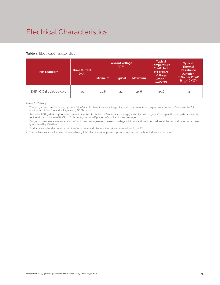# Electrical Characteristics

### **Table 4:** Electrical Characteristics

|                          | <b>Drive Current</b> |                | <b>Forward Voltage</b><br>$(V)$ <sup>2.3</sup> |                | <b>Typical</b><br><b>Temperature</b><br>Coefficient         | <b>Typical</b><br><b>Thermal</b><br><b>Resistance</b>                |  |
|--------------------------|----------------------|----------------|------------------------------------------------|----------------|-------------------------------------------------------------|----------------------------------------------------------------------|--|
| Part Number <sup>1</sup> | (mA)                 | <b>Minimum</b> | <b>Typical</b>                                 | <b>Maximum</b> | of Forward<br>Voltage<br>$\Delta V \sim \Delta T$<br>(mV/C) | <b>Junction</b><br>to Solder Point <sup>4</sup><br>$R_{j-sp}$ (°C/W) |  |
| BXEP-XXX-181-24A-00-00-0 | 45                   | 20.8           | 22                                             | 24.6           | $-10.6$                                                     | 3.1                                                                  |  |

Notes for Table 4:

1. The last 7 characters (including hyphens '-') refer to flux bins, forward voltage bins, and color bin options, respectively. "00-00-0" denotes the full distribution of flux, forward voltage, and 7 SDCM color.

 Example: BXEP-30E-181-24A-00-00-0 refers to the full distribution of flux, forward voltage, and color within a 3000K 7-step ANSI standard chromaticity region with a minimum of 80CRI, 1x8 die configuration, 1W power, 22V typical forward voltage.

2. Bridgelux maintains a tolerance of ± 0.1V on forward voltage measurements. Voltage minimum and maximum values at the nominal drive current are guaranteed by 100% test.

3. Products tested under pulsed condition (10ms pulse width) at nominal drive current where  $T_{\rm es}$  = 25°C.

4. Thermal resistance value was calculated using total electrical input power; optical power was not subtracted from input power.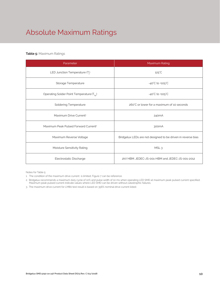# Absolute Maximum Ratings

### **Table 5:** Maximum Ratings

| Parameter                                             | Maximum Rating                                               |
|-------------------------------------------------------|--------------------------------------------------------------|
| LED Junction Temperature $(T_i)$                      | $125^{\circ}$ C                                              |
| Storage Temperature                                   | $-40^{\circ}$ C to $+105^{\circ}$ C                          |
| Operating Solder Point Temperature (T <sub>Sp</sub> ) | $-40^{\circ}$ C to $+105^{\circ}$ C                          |
| <b>Soldering Temperature</b>                          | 260°C or lower for a maximum of 10 seconds                   |
| Maximum Drive Current <sup>1</sup>                    | 240 <sub>m</sub> A                                           |
| Maximum Peak Pulsed Forward Current <sup>2</sup>      | 300mA                                                        |
| Maximum Reverse Voltage                               | Bridgelux LEDs are not designed to be driven in reverse bias |
| Moisture Sensitivity Rating                           | MSL <sub>3</sub>                                             |
| Electrostatic Discharge                               | 2kV HBM. JEDEC-JS-001-HBM and JEDEC-JS-001-2012              |

Notes for Table 5:

1. The condition of the maximum drive current is limited, Figure 7 can be reference.

2. Bridgelux recommends a maximum duty cycle of 10% and pulse width of 10 ms when operating LED SMD at maximum peak pulsed current specified. Maximum peak pulsed current indicate values where LED SMD can be driven without catastrophic failures.

3. The maximum drive current for LM80 test result is based on 356% nominal drive current listed.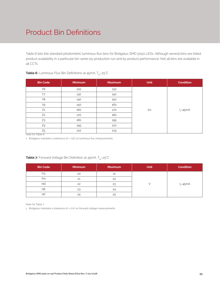# Product Bin Definitions

Table 6 lists the standard photometric luminous flux bins for Bridgelux SMD 5050 LEDs. Although several bins are listed, product availability in a particular bin varies by production run and by product performance. Not all bins are available in all CCTs.

| <b>Bin Code</b> | <b>Minimum</b> | <b>Maximum</b> | <b>Unit</b> | <b>Condition</b> |
|-----------------|----------------|----------------|-------------|------------------|
| <b>Y6</b>       | 120            | 130            |             |                  |
| Y7              | 130            | 140            |             |                  |
| Y8              | 140            | 150            |             |                  |
| Y9              | 150            | 160            |             |                  |
| $Z_1$           | 160            | 170            | lm          | $I_F = 45mA$     |
| Z <sub>2</sub>  | 170            | 180            |             |                  |
| Z3              | 180            | 195            |             |                  |
| Z <sub>4</sub>  | 195            | 210            |             |                  |
| $Z_5$           | 210            | 225            |             |                  |

### **Table 6:** Luminous Flux Bin Definitions at 45mA, T<sub>sp</sub>=25°C

Note for Table 6:

1. Bridgelux maintains a tolerance of ±7.5% on luminous flux measurements.

| <b>Bin Code</b> | <b>Minimum</b> | <b>Maximum</b> | <b>Unit</b> | <b>Condition</b> |
|-----------------|----------------|----------------|-------------|------------------|
| FG              | 20             | 21             |             |                  |
| <b>FH</b>       | 21             | 22             |             |                  |
| <b>HD</b>       | 22             | 23             |             | $I_F = 45mA$     |
| HE.             | 23             | 24             |             |                  |
| HF              | 24             | 25             |             |                  |

### **Table 7:** Forward Voltage Bin Definition at 45mA, T<sub>sp</sub>=25°C

Note for Table 7:

1. Bridgelux maintains a tolerance of ± 0.1V on forward voltage measurements.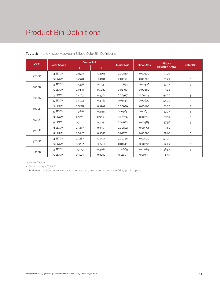# Product Bin Definitions

| <b>CCT</b> | <b>Color Space</b> | <b>Center Point</b> |        |                   |                   | <b>Ellipse</b>        |                  |
|------------|--------------------|---------------------|--------|-------------------|-------------------|-----------------------|------------------|
|            |                    | $\mathsf{x}$        | Y      | <b>Major Axis</b> | <b>Minor Axis</b> | <b>Rotation Angle</b> | <b>Color Bin</b> |
| 2700K      | 3 SDCM             | 0.4578              | 0.4101 | 0.00810           | 0.00420           | 53.70                 | 3                |
|            | 5 SDCM             | 0.4578              | 0.4101 | 0.01350           | 0.00700           | 53.70                 | 5                |
| 3000K      | 3 SDCM             | 0.4338              | 0.4030 | 0.00834           | 0.00408           | 53.22                 | 3                |
|            | 5 SDCM             | 0.4338              | 0.4030 | 0.01390           | 0.00680           | 53.22                 | 5                |
|            | 3 SDCM             | 0.4103              | 0.3961 | 0.00927           | 0.00414           | 54.00                 | 3                |
| 3500K      | 5 SDCM             | 0.4103              | 0.3961 | 0.01545           | 0.00690           | 54.00                 | 5                |
| 4000K      | 3 SDCM             | 0.3818              | 0.3797 | 0.00939           | 0.00402           | 53.72                 | 3                |
|            | 5 SDCM             | 0.3818              | 0.3797 | 0.01565           | 0.00670           | 53.72                 | 5                |
| 4500K      | 3 SDCM             | 0.3611              | 0.3658 | 0.00756           | 0.00338           | 57.58                 | 3                |
|            | 5 SDCM             | 0.3611              | 0.3658 | 0.01260           | 0.00563           | 57.58                 | 5                |
| 5000K      | 3 SDCM             | 0.3447              | 0.3553 | 0.00822           | 0.00354           | 59.62                 | 3                |
|            | 5 SDCM             | 0.3447              | 0.3553 | 0.01370           | 0.00590           | 59.62                 | 5                |
| 5700K      | 3 SDCM             | 0.3287              | 0.3417 | 0.00746           | 0.00320           | 59.09                 | 3                |
|            | 5 SDCM             | 0.3287              | 0.3417 | 0.01243           | 0.00533           | 59.09                 | 5                |
| 6500K      | 3 SDCM             | 0.3123              | 0.3282 | 0.00669           | 0.00285           | 58.57                 | 3                |
|            | 5 SDCM             | 0.3123              | 0.3282 | 0.01115           | 0.00475           | 58.57                 | 5                |

**Table 8:** 3- and 5-step MacAdam Ellipse Color Bin Definitions

Notes for Table 8:

1. Color binning at  $T_{\rm so}$ =85°C

2. Bridgelux maintains a tolerance of ± 0.007 on x and y color coordinates in the CIE 1931 color space.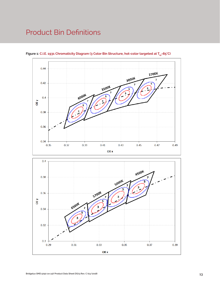# Product Bin Definitions



Figure 1: C.I.E. 1931 Chromaticity Diagram (3 Color Bin Structure, hot-color targeted at T<sub>sp</sub>=85°C)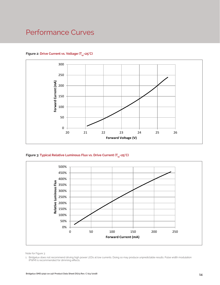# Performance Curves

### Figure 2: Drive Current vs. Voltage (T<sub>cn</sub>=25°C)



Figure 3: Typical Relative Luminous Flux vs. Drive Current (T<sub>sp</sub>=25°C)



Note for Figure 3:

1. Bridgelux does not recommend driving high power LEDs at low currents. Doing so may produce unpredictable results. Pulse width modulation (PWM) is recommended for dimming effects.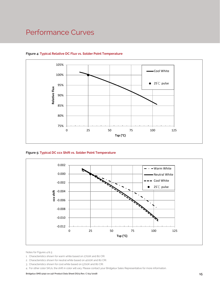# Performance Curves



### **Figure 4: Typical Relative DC Flux vs. Solder Point Temperature**

### **Figure 5: Typical DC ccx Shift vs. Solder Point Temperature**



Notes for Figures 4 & 5:

- 1. Characteristics shown for warm white based on 2700K and 80 CRI.
- 2. Characteristics shown for neutral white based on 4000K and 80 CRI.
- 3. Characteristics shown for cool white based on 5700K and 80 CRI.
- 4. For other color SKUs, the shift in color will vary. Please contact your Bridgelux Sales Representative for more information.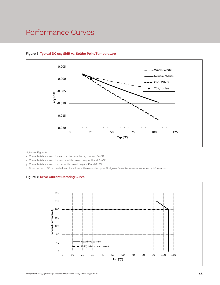# Performance Curves



### **Figure 6: Typical DC ccy Shift vs. Solder Point Temperature**

Notes for Figure 6:

1. Characteristics shown for warm white based on 2700K and 80 CRI.

2. Characteristics shown for neutral white based on 4000K and 80 CRI.

3. Characteristics shown for cool white based on 5700K and 80 CRI.

4. For other color SKUs, the shift in color will vary. Please contact your Bridgelux Sales Representative for more information.

### **Figure 7: Drive Current Derating Curve**

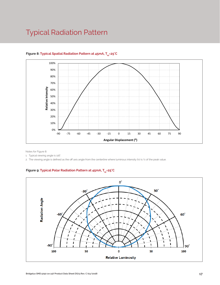# Typical Radiation Pattern



### Figure 8: Typical Spatial Radiation Pattern at 45mA, T<sub>sp</sub>=25°C

Notes for Figure 8:

1. Typical viewing angle is 116°.

2. The viewing angle is defined as the off axis angle from the centerline where luminous intensity (Iv) is ½ of the peak value.

### Figure 9: Typical Polar Radiation Pattern at 45mA, T<sub>sp</sub>=25°C

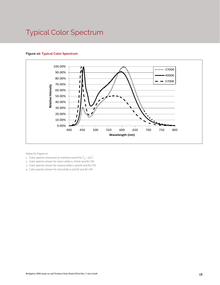# Typical Color Spectrum

### **Figure 10: Typical Color Spectrum**



Notes for Figure 10:

- 1. Color spectra measured at nominal current for  $T_{\rm so}$  = 25°C
- 2. Color spectra shown for warm white is 2700K and 80 CRI.
- 3. Color spectra shown for neutral white is 4000K and 80 CRI.
- 4. Color spectra shown for cool white is 5700K and 80 CRI.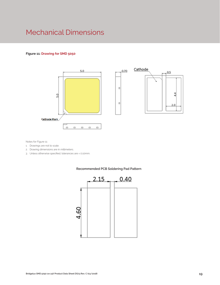# Mechanical Dimensions

### **Figure 11: Drawing for SMD 5050**





Notes for Figure 11:

- 1. Drawings are not to scale.
- 2. Drawing dimensions are in millimeters.
- 3. Unless otherwise specified, tolerances are ± 0.10mm.



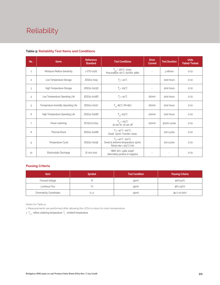# Reliability

| No.            | Items                               | Reference<br><b>Standard</b> | <b>Test Conditions</b>                                                                                | <b>Drive</b><br><b>Current</b> | <b>Test Duration</b> | <b>Units</b><br>Failed/Tested |
|----------------|-------------------------------------|------------------------------|-------------------------------------------------------------------------------------------------------|--------------------------------|----------------------|-------------------------------|
| $\mathbf{1}$   | Moisture/Reflow Sensitivity         | J-STD-020E                   | $T_{std}$ = 260°C, 10sec,<br>Precondition: 60°C, 60%RH, 168hr                                         |                                | 3 reflows            | 0/22                          |
| $\overline{c}$ | Low Temperature Storage             | JESD22-A119                  | $T_a = -40^{\circ}C$                                                                                  | $\bar{a}$                      | 1000 hours           | 0/22                          |
| 3              | High Temperature Storage            | JESD22-A103D                 | $T_a = 105^{\circ}C$                                                                                  | $\bar{a}$                      | 1000 hours           | 0/22                          |
| $\overline{4}$ | Low Temperature Operating Life      | JESD22-A108D                 | $T_a = -40^{\circ}C$                                                                                  | 160 <sub>m</sub> A             | 1000 hours           | 0/22                          |
| 5              | Temperature Humidity Operating Life | JESD22-A101C                 | $T_{\rm SD} = 85^{\circ}$ C, RH=85%                                                                   | 160 <sub>m</sub> A             | 1000 hours           | 0/22                          |
| 6              | High Temperature Operating Life     | JESD22-A108D                 | $T_{\rm sn}$ =105°C                                                                                   | 200 <sub>m</sub> A             | 1000 hours           | 0/22                          |
| $\overline{7}$ | Power switching                     | IEC62717:2014                | $T_{sp}$ = 105°C<br>30 sec on, 30 sec off                                                             | 200 <sub>m</sub> A             | 30000 cycles         | 0/22                          |
| 8              | <b>Thermal Shock</b>                | JESD22-A106B                 | $T_s = -40^{\circ}C \sim 100^{\circ}C$ ;<br>Dwell: 15min; Transfer: 10sec                             |                                | 200 cycles           | 0/22                          |
| 9              | Temperature Cycle                   | JESD22-A104E                 | $T_a = -40^{\circ}C - 100^{\circ}C;$<br>Dwell at extreme temperature: 15min;<br>Ramp rate < 105°C/min |                                | 200 cycles           | 0/22                          |
| 10             | Electrostatic Discharge             | JS-001-2012                  | HBM, $2KV$ , $1.5k\Omega$ , 100pF,<br>Alternately positive or negative                                |                                |                      | 0/22                          |

### **Table 9: Reliability Test Items and Conditions**

### **Passing Criteria**

| <b>Item</b>                     | <b>Symbol</b> | <b>Test Condition</b> | <b>Passing Criteria</b> |
|---------------------------------|---------------|-----------------------|-------------------------|
| Forward Voltage                 | Vf            | 45 <sub>m</sub> A     | ΔVf<10%                 |
| Luminous Flux                   | ŀ٧            | 45 <sub>m</sub> A     | ΔFν<30%                 |
| <b>Chromaticity Coordinates</b> | (x, y)        | 45 <sub>m</sub> A     | Δu'v'<0.007             |

Notes for Table 9:

1. Measurements are performed after allowing the LEDs to return to room temperature

2.  $\mathsf{T}_{\mathsf{std}}$  : reflow soldering temperature;  $\mathsf{T}_{\mathsf{a}}$  : ambient temperature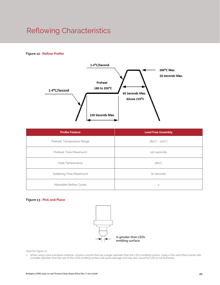# Reflowing Characteristics

### **Figure 12 : Reflow Profile**



| <b>Profile Feature</b>     | <b>Lead Free Assembly</b>     |
|----------------------------|-------------------------------|
| Preheat: Temperature Range | $180^{\circ}C - 200^{\circ}C$ |
| Preheat: Time (Maximum)    | 120 seconds                   |
| Peak Temperature           | $260^{\circ}$ C               |
| Soldering Time (Maximum)   | 10 seconds                    |
| Allowable Reflow Cycles    | $\overline{c}$                |

### **Figure 13 : Pick and Place**



Note for Figure 13:

1. When using a pick and place machine, choose a nozzle that has a larger diameter than the LED's emitting surface. Using a Pick-and-Place nozzle with a smaller diameter than the size of the LEDs emitting surface will cause damage and may also cause the LED to not illuminate.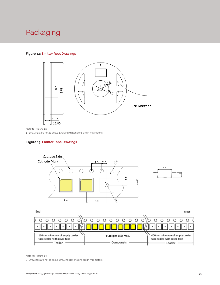# Packaging

### **Figure 14: Emitter Reel Drawings**



Note for Figure 14:

1. Drawings are not to scale. Drawing dimensions are in millimeters.

### **Figure 15: Emitter Tape Drawings**



160mm minumun of empty carrier 1500 pcs LED max. 400mm minumun of empty carrier tape sealed with cover tape tape sealed with cover tape - Componets - Trailer Leader .

Note for Figure 15:

1. Drawings are not to scale. Drawing dimensions are in millimeters.

 $\bullet$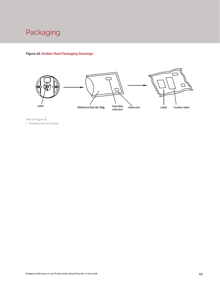

### **Figure 16: Emitter Reel Packaging Drawings**



Note for Figure 16: 1. Drawings are not to scale.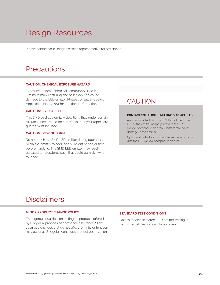# Design Resources

Please contact your Bridgelux sales representative for assistance.

# **Precautions**

#### **CAUTION: CHEMICAL EXPOSURE HAZARD**

Exposure to some chemicals commonly used in luminaire manufacturing and assembly can cause damage to the LED emitter. Please consult Bridgelux Application Note AN51 for additional information.

### **CAUTION: EYE SAFETY**

This SMD package emits visible light, that, under certain circumstances, could be harmful to the eye. Proper safeguards must be used.

### **CAUTION: RISK OF BURN**

Do not touch the SMD LED emitter during operation. Allow the emitter to cool for a sufficient period of time before handling. The SMD LED emitter may reach elevated temperatures such that could burn skin when touched.

## **CAUTION**

### **CONTACT WITH LIGHT EMITTING SURFACE (LES)**

Avoid any contact with the LES. Do not touch the LES of the emitter or apply stress to the LES (yellow phosphor resin area). Contact may cause damage to the emitter

Optics and reflectors must not be mounted in contact with the LES (yellow phosphor resin area).

# Disclaimers

#### **MINOR PRODUCT CHANGE POLICY**

The rigorous qualification testing on products offered by Bridgelux provides performance assurance. Slight cosmetic changes that do not affect form, fit, or function may occur as Bridgelux continues product optimization.

### **STANDARD TEST CONDITIONS**

Unless otherwise stated, LED emitter testing is performed at the nominal drive current.